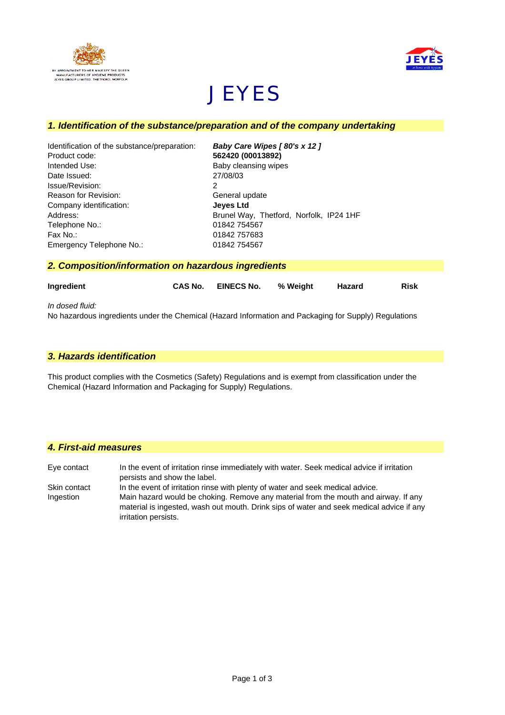



# **JEYES**

# *1. Identification of the substance/preparation and of the company undertaking*

| Identification of the substance/preparation: | Baby Care Wipes [80's x 12]             |
|----------------------------------------------|-----------------------------------------|
| Product code:                                | 562420 (00013892)                       |
| Intended Use:                                | Baby cleansing wipes                    |
| Date Issued:                                 | 27/08/03                                |
| Issue/Revision:                              | 2                                       |
| Reason for Revision:                         | General update                          |
| Company identification:                      | <b>Jeves Ltd</b>                        |
| Address:                                     | Brunel Way, Thetford, Norfolk, IP24 1HF |
| Telephone No.:                               | 01842 754567                            |
| Fax No.:                                     | 01842 757683                            |
| Emergency Telephone No.:                     | 01842 754567                            |

*2. Composition/information on hazardous ingredients*

| Ingredient      | CAS No. | <b>EINECS No.</b> | % Weight | Hazard | <b>Risk</b> |
|-----------------|---------|-------------------|----------|--------|-------------|
| In dosed fluid: |         |                   |          |        |             |

No hazardous ingredients under the Chemical (Hazard Information and Packaging for Supply) Regulations

# *3. Hazards identification*

This product complies with the Cosmetics (Safety) Regulations and is exempt from classification under the Chemical (Hazard Information and Packaging for Supply) Regulations.

# *4. First-aid measures*

irritation persists.

Eye contact In the event of irritation rinse immediately with water. Seek medical advice if irritation persists and show the label. Skin contact In the event of irritation rinse with plenty of water and seek medical advice. Ingestion Main hazard would be choking. Remove any material from the mouth and airway. If any material is ingested, wash out mouth. Drink sips of water and seek medical advice if any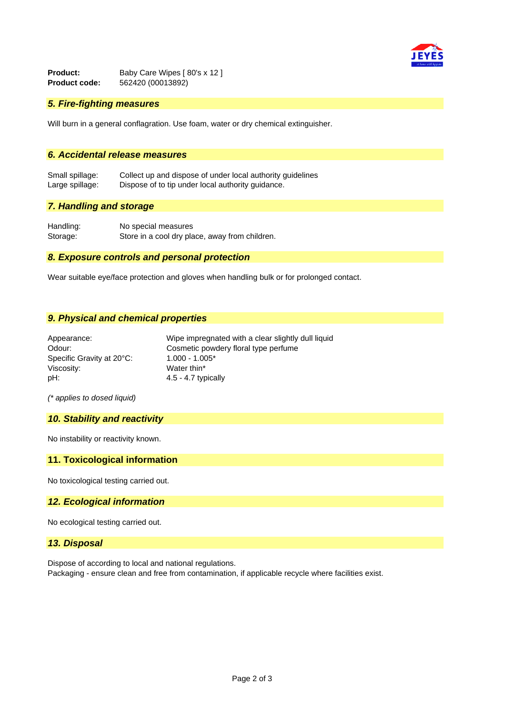

**Product:** Baby Care Wipes [ 80's x 12 ]<br>**Product code:** 562420 (00013892) **Product code:** 562420 (00013892)

## *5. Fire-fighting measures*

Will burn in a general conflagration. Use foam, water or dry chemical extinguisher.

# *6. Accidental release measures*

Small spillage: Collect up and dispose of under local authority guidelines Large spillage: Dispose of to tip under local authority guidance.

## *7. Handling and storage*

Handling: No special measures Storage: Store in a cool dry place, away from children.

## *8. Exposure controls and personal protection*

Wear suitable eye/face protection and gloves when handling bulk or for prolonged contact.

#### *9. Physical and chemical properties*

| Appearance:               | Wipe impregnated with a clear slightly dull liquid |
|---------------------------|----------------------------------------------------|
| Odour:                    | Cosmetic powdery floral type perfume               |
| Specific Gravity at 20°C: | $1.000 - 1.005*$                                   |
| Viscosity:                | Water thin*                                        |
| pH:                       | $4.5 - 4.7$ typically                              |

*(\* applies to dosed liquid)*

#### *10. Stability and reactivity*

No instability or reactivity known.

#### **11. Toxicological information**

No toxicological testing carried out.

#### *12. Ecological information*

No ecological testing carried out.

#### *13. Disposal*

Dispose of according to local and national regulations. Packaging - ensure clean and free from contamination, if applicable recycle where facilities exist.